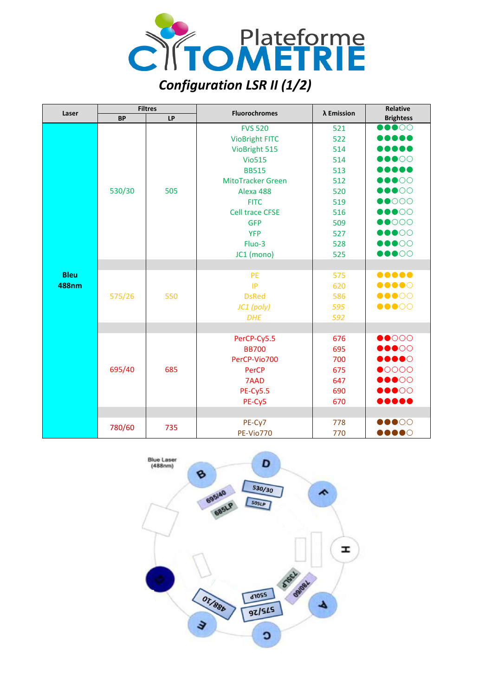

| Laser        | <b>Filtres</b> |     |                          |            | Relative                            |
|--------------|----------------|-----|--------------------------|------------|-------------------------------------|
|              | <b>BP</b>      | LP  | <b>Fluorochromes</b>     | λ Emission | <b>Brightess</b>                    |
|              | 530/30         | 505 | <b>FVS 520</b>           | 521        | $\bullet\bullet\bullet\circ\circ$   |
|              |                |     | <b>VioBright FITC</b>    | 522        |                                     |
|              |                |     | VioBright 515            | 514        |                                     |
|              |                |     | <b>Vio515</b>            | 514        | $\bullet\bullet\bullet\circ\circ$   |
|              |                |     | <b>BB515</b>             | 513        |                                     |
|              |                |     | <b>MitoTracker Green</b> | 512        | $\bullet\bullet\bullet\circ\circ$   |
|              |                |     | Alexa 488                | 520        | $\bullet\bullet\bullet\circ\circ$   |
|              |                |     | <b>FITC</b>              | 519        | $\bullet$ 0000                      |
|              |                |     | <b>Cell trace CFSE</b>   | 516        | $\bullet\bullet\bullet\circ\circ$   |
|              |                |     | <b>GFP</b>               | 509        | $\bullet$ 0000                      |
|              |                |     | <b>YFP</b>               | 527        | $\bullet\bullet\bullet\circ\circ$   |
|              |                |     | Fluo-3                   | 528        | $\bullet\bullet\bullet\circ\circ$   |
|              |                |     | JC1 (mono)               | 525        | $\bullet\bullet\bullet\circ\circ$   |
|              |                |     |                          |            |                                     |
| <b>Bleu</b>  |                |     | PE                       | 575        |                                     |
| <b>488nm</b> | 575/26         | 550 | IP                       | 620        | $\bullet\bullet\bullet\bullet\circ$ |
|              |                |     | <b>DsRed</b>             | 586        | $\bullet\bullet\bullet\circ\circ$   |
|              |                |     | JC1 (poly)               | 595        | $\bullet\bullet\bullet\circ\circ$   |
|              |                |     | <b>DHE</b>               | 592        |                                     |
|              |                |     |                          |            |                                     |
|              | 695/40         | 685 | PerCP-Cy5.5              | 676        | $\bullet\bullet\circ\circ\circ$     |
|              |                |     | <b>BB700</b>             | 695        | $\bullet\bullet\circ\circ$          |
|              |                |     | PerCP-Vio700             | 700        | $\bullet\bullet\bullet\bullet\circ$ |
|              |                |     | PerCP                    | 675        | $\bullet$ 0000                      |
|              |                |     | 7AAD                     | 647        | $\bullet\bullet\bullet\circ\circ$   |
|              |                |     | <b>PE-Cy5.5</b>          | 690        | $\bullet\bullet\bullet\circ\circ$   |
|              |                |     | PE-Cy5                   | 670        |                                     |
|              |                |     |                          |            |                                     |
|              | 780/60         | 735 | PE-Cy7                   | 778        | $\bullet\bullet\circ\circ\circ$     |
|              |                |     | <b>PE-Vio770</b>         | 770        | $\bullet\bullet\bullet\circ$        |